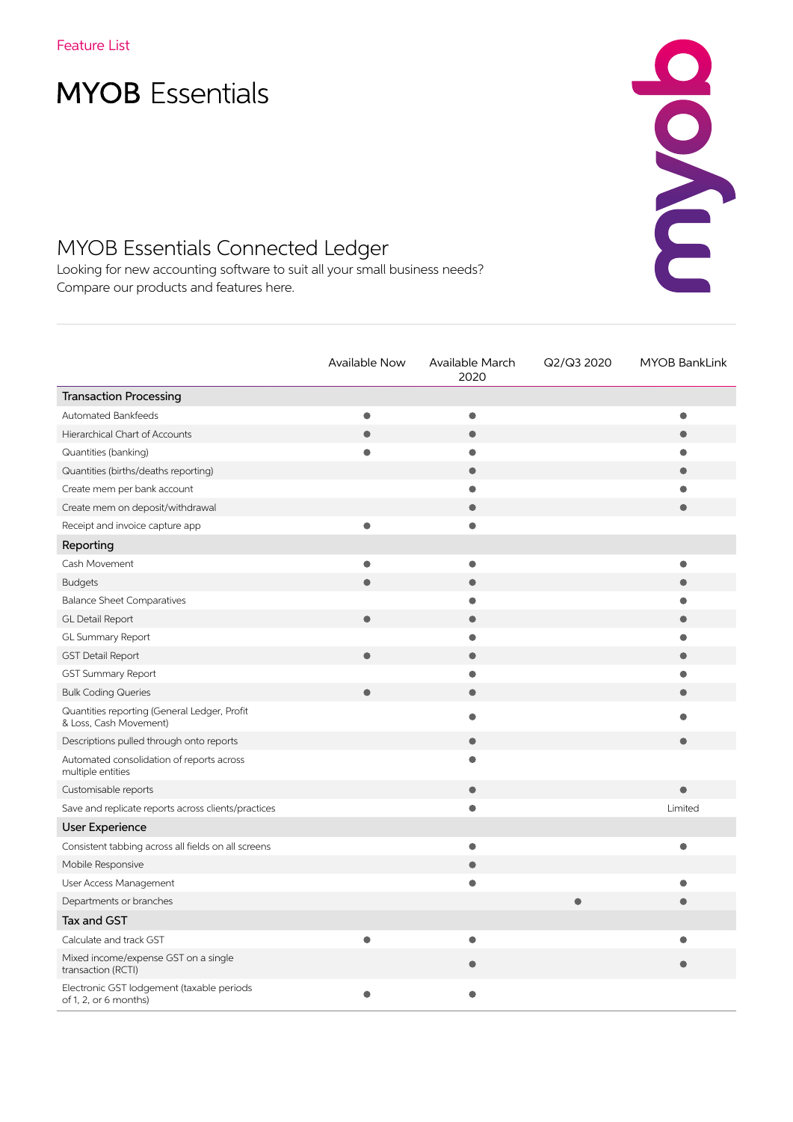# **MYOB** Essentials

## MYOB Essentials Connected Ledger

Looking for new accounting software to suit all your small business needs? Compare our products and features here.

|                                                                        | <b>Available Now</b> | Available March<br>2020 | Q2/Q3 2020 | <b>MYOB BankLink</b> |
|------------------------------------------------------------------------|----------------------|-------------------------|------------|----------------------|
| <b>Transaction Processing</b>                                          |                      |                         |            |                      |
| Automated Bankfeeds                                                    |                      | $\bullet$               |            |                      |
| Hierarchical Chart of Accounts                                         |                      | $\bullet$               |            |                      |
| Quantities (banking)                                                   |                      | $\bullet$               |            |                      |
| Quantities (births/deaths reporting)                                   |                      | $\bullet$               |            |                      |
| Create mem per bank account                                            |                      | $\bullet$               |            |                      |
| Create mem on deposit/withdrawal                                       |                      | $\bullet$               |            |                      |
| Receipt and invoice capture app                                        | ۰                    | $\bullet$               |            |                      |
| Reporting                                                              |                      |                         |            |                      |
| Cash Movement                                                          |                      | $\bullet$               |            |                      |
| <b>Budgets</b>                                                         |                      | $\bullet$               |            |                      |
| <b>Balance Sheet Comparatives</b>                                      |                      | $\bullet$               |            |                      |
| GL Detail Report                                                       | $\bullet$            | $\bullet$               |            |                      |
| GL Summary Report                                                      |                      | $\bullet$               |            |                      |
| <b>GST Detail Report</b>                                               |                      | $\bullet$               |            |                      |
| <b>GST Summary Report</b>                                              |                      | $\bullet$               |            |                      |
| <b>Bulk Coding Queries</b>                                             |                      | $\bullet$               |            |                      |
| Quantities reporting (General Ledger, Profit<br>& Loss, Cash Movement) |                      |                         |            |                      |
| Descriptions pulled through onto reports                               |                      | $\bullet$               |            |                      |
| Automated consolidation of reports across<br>multiple entities         |                      | $\bullet$               |            |                      |
| Customisable reports                                                   |                      | $\bullet$               |            |                      |
| Save and replicate reports across clients/practices                    |                      | $\bullet$               |            | Limited              |
| <b>User Experience</b>                                                 |                      |                         |            |                      |
| Consistent tabbing across all fields on all screens                    |                      | $\bullet$               |            |                      |
| Mobile Responsive                                                      |                      | $\bullet$               |            |                      |
| User Access Management                                                 |                      | $\bullet$               |            |                      |
| Departments or branches                                                |                      |                         |            |                      |
| <b>Tax and GST</b>                                                     |                      |                         |            |                      |
| Calculate and track GST                                                |                      | $\bullet$               |            |                      |
| Mixed income/expense GST on a single<br>transaction (RCTI)             |                      |                         |            |                      |
| Electronic GST lodgement (taxable periods<br>of 1, 2, or 6 months)     |                      |                         |            |                      |